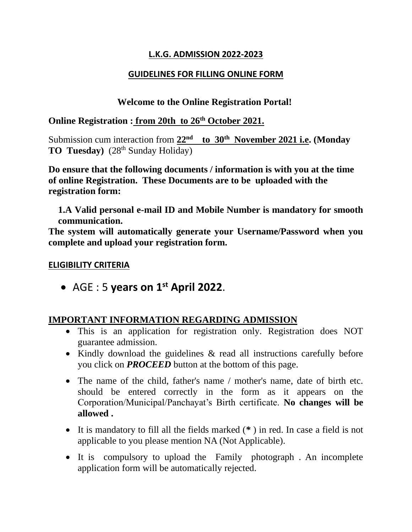## **L.K.G. ADMISSION 2022-2023**

#### **GUIDELINES FOR FILLING ONLINE FORM**

### **Welcome to the Online Registration Portal!**

#### **Online Registration : from 20th to 26th October 2021.**

Submission cum interaction from  $22<sup>nd</sup>$  to  $30<sup>th</sup>$  November 2021 i.e. (Monday **TO Tuesday**)  $(28<sup>th</sup>$  Sunday Holiday)

**Do ensure that the following documents / information is with you at the time of online Registration. These Documents are to be uploaded with the registration form:**

**1.A Valid personal e-mail ID and Mobile Number is mandatory for smooth communication.**

**The system will automatically generate your Username/Password when you complete and upload your registration form.**

#### **ELIGIBILITY CRITERIA**

• AGE : 5 **years on 1st April 2022**.

## **IMPORTANT INFORMATION REGARDING ADMISSION**

- This is an application for registration only. Registration does NOT guarantee admission.
- Kindly download the guidelines & read all instructions carefully before you click on *PROCEED* button at the bottom of this page.
- The name of the child, father's name / mother's name, date of birth etc. should be entered correctly in the form as it appears on the Corporation/Municipal/Panchayat's Birth certificate. **No changes will be allowed .**
- It is mandatory to fill all the fields marked (*\** ) in red. In case a field is not applicable to you please mention NA (Not Applicable).
- It is compulsory to upload the Family photograph. An incomplete application form will be automatically rejected.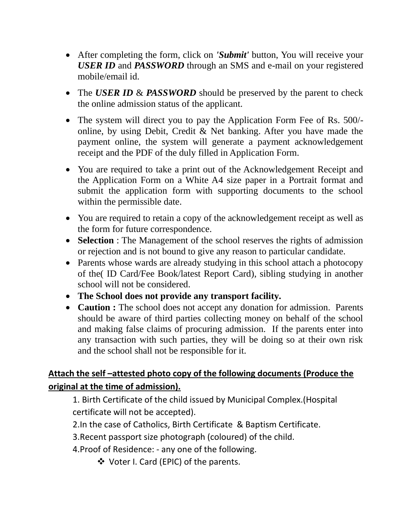- After completing the form, click on *'Submit'* button, You will receive your *USER ID* and *PASSWORD* through an SMS and e-mail on your registered mobile/email id.
- The *USER ID & PASSWORD* should be preserved by the parent to check the online admission status of the applicant.
- The system will direct you to pay the Application Form Fee of Rs. 500/ online, by using Debit, Credit & Net banking. After you have made the payment online, the system will generate a payment acknowledgement receipt and the PDF of the duly filled in Application Form.
- You are required to take a print out of the Acknowledgement Receipt and the Application Form on a White A4 size paper in a Portrait format and submit the application form with supporting documents to the school within the permissible date.
- You are required to retain a copy of the acknowledgement receipt as well as the form for future correspondence.
- **Selection**: The Management of the school reserves the rights of admission or rejection and is not bound to give any reason to particular candidate.
- Parents whose wards are already studying in this school attach a photocopy of the( ID Card/Fee Book/latest Report Card), sibling studying in another school will not be considered.
- **The School does not provide any transport facility.**
- **Caution :** The school does not accept any donation for admission. Parents should be aware of third parties collecting money on behalf of the school and making false claims of procuring admission. If the parents enter into any transaction with such parties, they will be doing so at their own risk and the school shall not be responsible for it.

# **Attach the self –attested photo copy of the following documents (Produce the original at the time of admission).**

1. Birth Certificate of the child issued by Municipal Complex.(Hospital certificate will not be accepted).

- 2.In the case of Catholics, Birth Certificate & Baptism Certificate.
- 3.Recent passport size photograph (coloured) of the child.

4.Proof of Residence: - any one of the following.

❖ Voter I. Card (EPIC) of the parents.